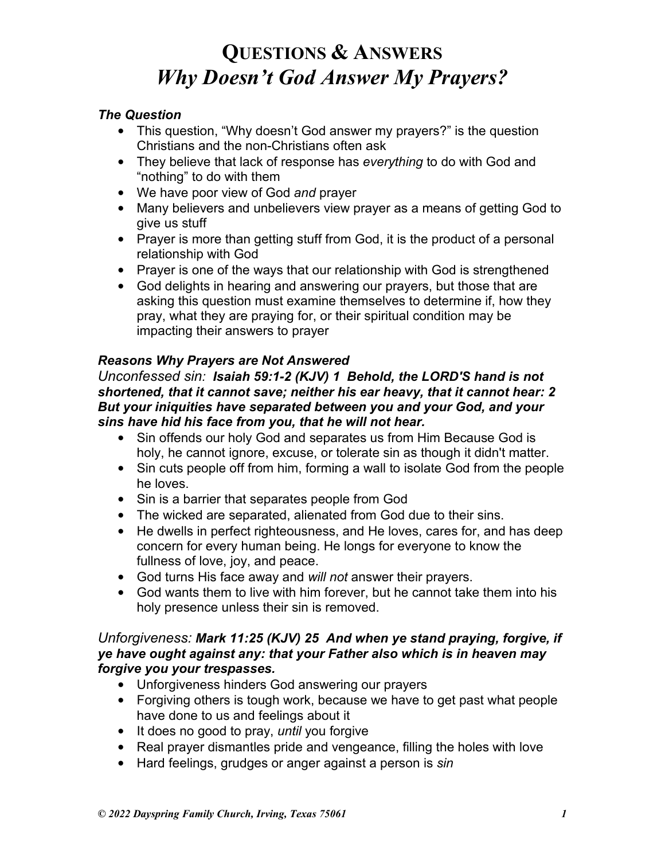# **QUESTIONS & ANSWERS** *Why Doesn't God Answer My Prayers?*

### *The Question*

- This question, "Why doesn't God answer my prayers?" is the question Christians and the non-Christians often ask
- They believe that lack of response has *everything* to do with God and "nothing" to do with them
- We have poor view of God *and* prayer
- Many believers and unbelievers view prayer as a means of getting God to give us stuff
- Prayer is more than getting stuff from God, it is the product of a personal relationship with God
- Prayer is one of the ways that our relationship with God is strengthened
- God delights in hearing and answering our prayers, but those that are asking this question must examine themselves to determine if, how they pray, what they are praying for, or their spiritual condition may be impacting their answers to prayer

#### *Reasons Why Prayers are Not Answered*

#### *Unconfessed sin: Isaiah 59:1-2 (KJV) 1 Behold, the LORD'S hand is not shortened, that it cannot save; neither his ear heavy, that it cannot hear: 2 But your iniquities have separated between you and your God, and your sins have hid his face from you, that he will not hear.*

- Sin offends our holy God and separates us from Him Because God is holy, he cannot ignore, excuse, or tolerate sin as though it didn't matter.
- Sin cuts people off from him, forming a wall to isolate God from the people he loves.
- Sin is a barrier that separates people from God
- The wicked are separated, alienated from God due to their sins.
- He dwells in perfect righteousness, and He loves, cares for, and has deep concern for every human being. He longs for everyone to know the fullness of love, joy, and peace.
- God turns His face away and *will not* answer their prayers.
- God wants them to live with him forever, but he cannot take them into his holy presence unless their sin is removed.

#### *Unforgiveness: Mark 11:25 (KJV) 25 And when ye stand praying, forgive, if ye have ought against any: that your Father also which is in heaven may forgive you your trespasses.*

- Unforgiveness hinders God answering our prayers
- Forgiving others is tough work, because we have to get past what people have done to us and feelings about it
- It does no good to pray, *until* you forgive
- Real prayer dismantles pride and vengeance, filling the holes with love
- Hard feelings, grudges or anger against a person is *sin*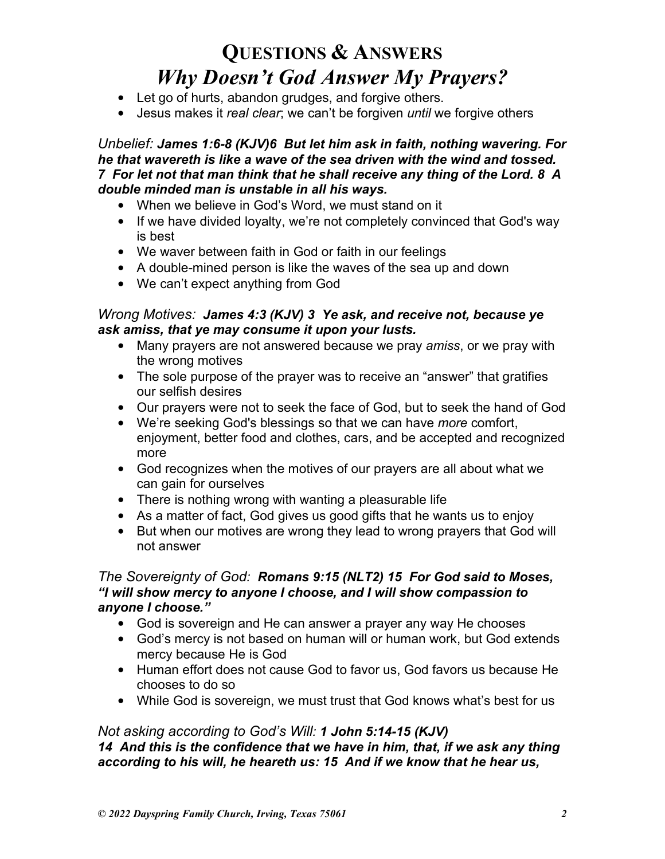# **QUESTIONS & ANSWERS** *Why Doesn't God Answer My Prayers?*

- Let go of hurts, abandon grudges, and forgive others.
- Jesus makes it *real clear*; we can't be forgiven *until* we forgive others

*Unbelief: James 1:6-8 (KJV)6 But let him ask in faith, nothing wavering. For he that wavereth is like a wave of the sea driven with the wind and tossed. 7 For let not that man think that he shall receive any thing of the Lord. 8 A double minded man is unstable in all his ways.*

- When we believe in God's Word, we must stand on it
- If we have divided loyalty, we're not completely convinced that God's way is best
- We waver between faith in God or faith in our feelings
- A double-mined person is like the waves of the sea up and down
- We can't expect anything from God

#### *Wrong Motives: James 4:3 (KJV) 3 Ye ask, and receive not, because ye ask amiss, that ye may consume it upon your lusts.*

- Many prayers are not answered because we pray *amiss*, or we pray with the wrong motives
- The sole purpose of the prayer was to receive an "answer" that gratifies our selfish desires
- Our prayers were not to seek the face of God, but to seek the hand of God
- We're seeking God's blessings so that we can have *more* comfort, enjoyment, better food and clothes, cars, and be accepted and recognized more
- God recognizes when the motives of our prayers are all about what we can gain for ourselves
- There is nothing wrong with wanting a pleasurable life
- As a matter of fact, God gives us good gifts that he wants us to enjoy
- But when our motives are wrong they lead to wrong prayers that God will not answer

#### *The Sovereignty of God: Romans 9:15 (NLT2) 15 For God said to Moses, "I will show mercy to anyone I choose, and I will show compassion to anyone I choose."*

- God is sovereign and He can answer a prayer any way He chooses
- God's mercy is not based on human will or human work, but God extends mercy because He is God
- Human effort does not cause God to favor us, God favors us because He chooses to do so
- While God is sovereign, we must trust that God knows what's best for us

### *Not asking according to God's Will: 1 John 5:14-15 (KJV)*

*14 And this is the confidence that we have in him, that, if we ask any thing according to his will, he heareth us: 15 And if we know that he hear us,*